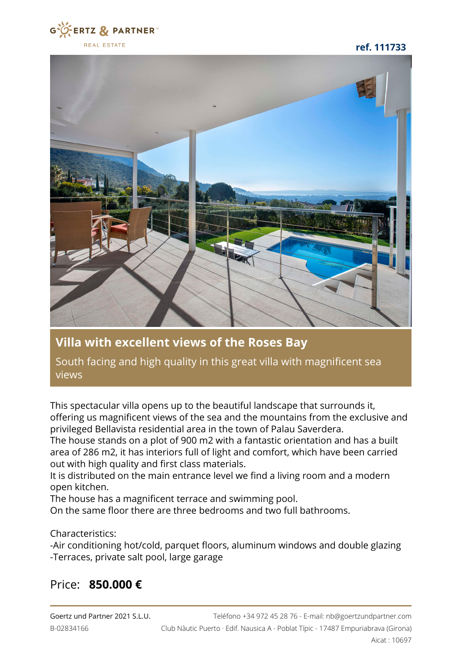

**ref. 111733**



## **Villa with excellent views of the Roses Bay**

South facing and high quality in this great villa with magnificent sea views

This spectacular villa opens up to the beautiful landscape that surrounds it, offering us magnificent views of the sea and the mountains from the exclusive and privileged Bellavista residential area in the town of Palau Saverdera.

The house stands on a plot of 900 m2 with a fantastic orientation and has a built area of 286 m2, it has interiors full of light and comfort, which have been carried out with high quality and first class materials.

It is distributed on the main entrance level we find a living room and a modern open kitchen.

The house has a magnificent terrace and swimming pool.

On the same floor there are three bedrooms and two full bathrooms.

Characteristics:

-Air conditioning hot/cold, parquet floors, aluminum windows and double glazing -Terraces, private salt pool, large garage

## Price: **850.000 €**